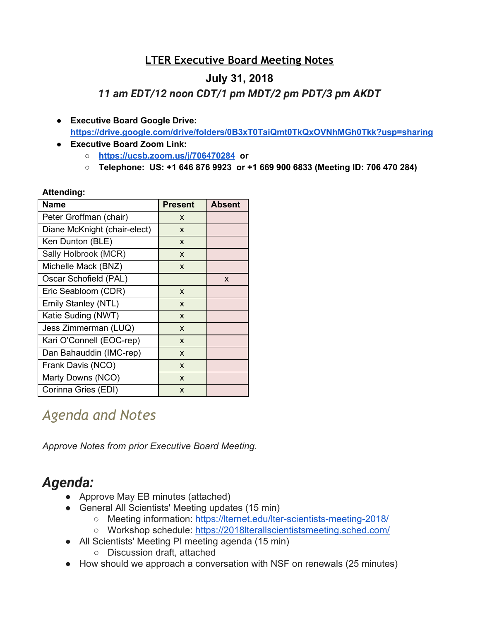### **LTER Executive Board Meeting Notes**

### **July 31, 2018**

*11 am EDT/12 noon CDT/1 pm MDT/2 pm PDT/3 pm AKDT*

- **● Executive Board Google Drive: <https://drive.google.com/drive/folders/0B3xT0TaiQmt0TkQxOVNhMGh0Tkk?usp=sharing>**
- **● Executive Board Zoom Link:**
	- **○ <https://ucsb.zoom.us/j/706470284> or**
	- **○ Telephone: US: +1 646 876 9923 or +1 669 900 6833 (Meeting ID: 706 470 284)**

#### **Attending:**

| <b>Name</b>                  | <b>Present</b> | <b>Absent</b> |
|------------------------------|----------------|---------------|
| Peter Groffman (chair)       | X              |               |
| Diane McKnight (chair-elect) | X              |               |
| Ken Dunton (BLE)             | X              |               |
| Sally Holbrook (MCR)         | X              |               |
| Michelle Mack (BNZ)          | X              |               |
| Oscar Schofield (PAL)        |                | X             |
| Eric Seabloom (CDR)          | X              |               |
| Emily Stanley (NTL)          | X              |               |
| Katie Suding (NWT)           | X              |               |
| Jess Zimmerman (LUQ)         | X              |               |
| Kari O'Connell (EOC-rep)     | X              |               |
| Dan Bahauddin (IMC-rep)      | X              |               |
| Frank Davis (NCO)            | X              |               |
| Marty Downs (NCO)            | X              |               |
| Corinna Gries (EDI)          | X              |               |

# *Agenda and Notes*

*Approve Notes from prior Executive Board Meeting.*

# *Agenda:*

- Approve May EB minutes (attached)
- General All Scientists' Meeting updates (15 min)
	- Meeting information:<https://lternet.edu/lter-scientists-meeting-2018/>
	- o Workshop schedule:<https://2018lterallscientistsmeeting.sched.com/>
- All Scientists' Meeting PI meeting agenda (15 min)
	- Discussion draft, attached
- How should we approach a conversation with NSF on renewals (25 minutes)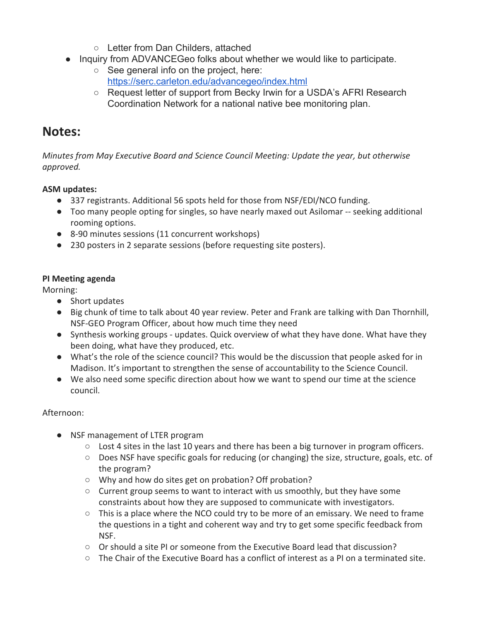- Letter from Dan Childers, attached
- Inquiry from ADVANCEGeo folks about whether we would like to participate.
	- See general info on the project, here: <https://serc.carleton.edu/advancegeo/index.html>
	- Request letter of support from Becky Irwin for a USDA's AFRI Research Coordination Network for a national native bee monitoring plan.

## **Notes:**

*Minutes from May Executive Board and Science Council Meeting: Update the year, but otherwise approved.*

### **ASM updates:**

- 337 registrants. Additional 56 spots held for those from NSF/EDI/NCO funding.
- Too many people opting for singles, so have nearly maxed out Asilomar -- seeking additional rooming options.
- 8-90 minutes sessions (11 concurrent workshops)
- 230 posters in 2 separate sessions (before requesting site posters).

### **PI Meeting agenda**

Morning:

- Short updates
- Big chunk of time to talk about 40 year review. Peter and Frank are talking with Dan Thornhill, NSF-GEO Program Officer, about how much time they need
- Synthesis working groups updates. Quick overview of what they have done. What have they been doing, what have they produced, etc.
- What's the role of the science council? This would be the discussion that people asked for in Madison. It's important to strengthen the sense of accountability to the Science Council.
- We also need some specific direction about how we want to spend our time at the science council.

### Afternoon:

- NSF management of LTER program
	- $\circ$  Lost 4 sites in the last 10 years and there has been a big turnover in program officers.
	- $\circ$  Does NSF have specific goals for reducing (or changing) the size, structure, goals, etc. of the program?
	- Why and how do sites get on probation? Off probation?
	- Current group seems to want to interact with us smoothly, but they have some constraints about how they are supposed to communicate with investigators.
	- This is a place where the NCO could try to be more of an emissary. We need to frame the questions in a tight and coherent way and try to get some specific feedback from NSF.
	- $\circ$  Or should a site PI or someone from the Executive Board lead that discussion?
	- $\circ$  The Chair of the Executive Board has a conflict of interest as a PI on a terminated site.